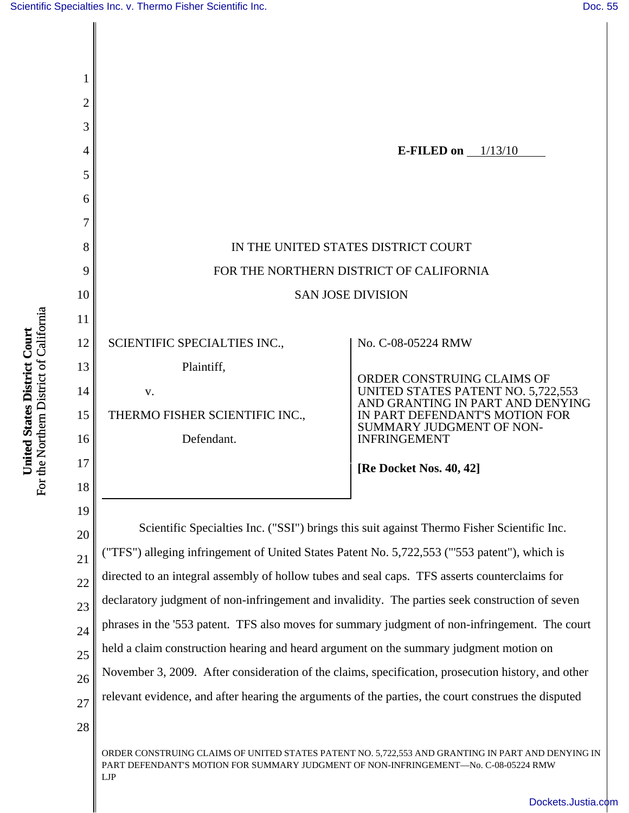

For the Northern District of California For the Northern District of California United States District Court **United States District Court**

28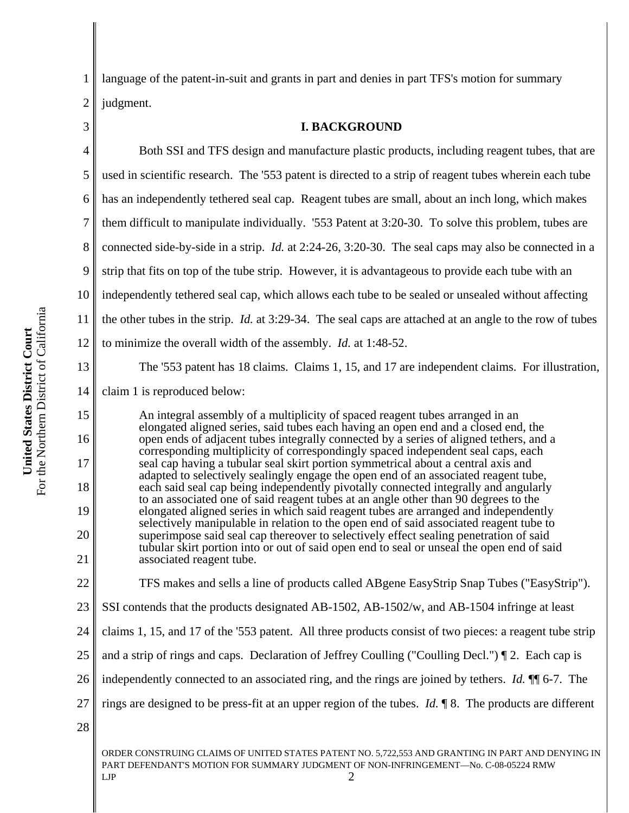1 2 language of the patent-in-suit and grants in part and denies in part TFS's motion for summary judgment.

## 3

#### **I. BACKGROUND**

4 5 6 7 8 9 10 11 12 13 14 15 16 17 Both SSI and TFS design and manufacture plastic products, including reagent tubes, that are used in scientific research. The '553 patent is directed to a strip of reagent tubes wherein each tube has an independently tethered seal cap. Reagent tubes are small, about an inch long, which makes them difficult to manipulate individually. '553 Patent at 3:20-30. To solve this problem, tubes are connected side-by-side in a strip. *Id.* at 2:24-26, 3:20-30. The seal caps may also be connected in a strip that fits on top of the tube strip. However, it is advantageous to provide each tube with an independently tethered seal cap, which allows each tube to be sealed or unsealed without affecting the other tubes in the strip. *Id.* at 3:29-34. The seal caps are attached at an angle to the row of tubes to minimize the overall width of the assembly. *Id.* at 1:48-52. The '553 patent has 18 claims. Claims 1, 15, and 17 are independent claims. For illustration, claim 1 is reproduced below: An integral assembly of a multiplicity of spaced reagent tubes arranged in an elongated aligned series, said tubes each having an open end and a closed end, the open ends of adjacent tubes integrally connected by a series of aligned tethers, and a corresponding multiplicity of correspondingly spaced independent seal caps, each seal cap having a tubular seal skirt portion symmetrical about a central axis and adapted to selectively sealingly engage the open end of an associated reagent tube,

- 18 19 20 21 each said seal cap being independently pivotally connected integrally and angularly to an associated one of said reagent tubes at an angle other than 90 degrees to the elongated aligned series in which said reagent tubes are arranged and independently selectively manipulable in relation to the open end of said associated reagent tube to superimpose said seal cap thereover to selectively effect sealing penetration of said tubular skirt portion into or out of said open end to seal or unseal the open end of said associated reagent tube.
- 22 TFS makes and sells a line of products called ABgene EasyStrip Snap Tubes ("EasyStrip").
- 23 SSI contends that the products designated AB-1502, AB-1502/w, and AB-1504 infringe at least
- 24 claims 1, 15, and 17 of the '553 patent. All three products consist of two pieces: a reagent tube strip
- 25 and a strip of rings and caps. Declaration of Jeffrey Coulling ("Coulling Decl.") ¶ 2. Each cap is
- 26 independently connected to an associated ring, and the rings are joined by tethers. *Id.* ¶¶ 6-7. The
- 27 rings are designed to be press-fit at an upper region of the tubes. *Id.* ¶ 8. The products are different
- 28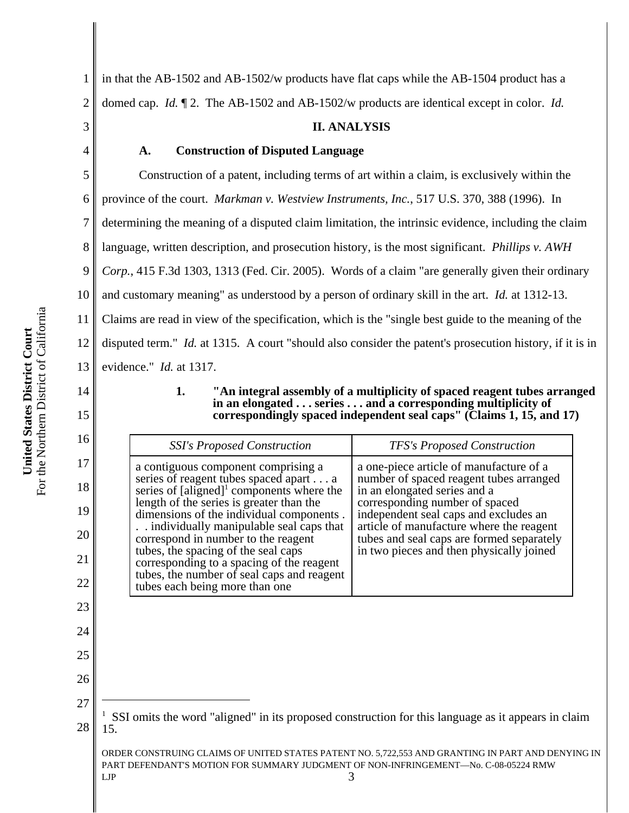1 2 in that the AB-1502 and AB-1502/w products have flat caps while the AB-1504 product has a domed cap. *Id.* ¶ 2. The AB-1502 and AB-1502/w products are identical except in color. *Id.*

3

4

7

11

14

15

16

17

18

19

20

21

22

23

24

25

26

27

28

### **II. ANALYSIS**

#### **A. Construction of Disputed Language**

5 6 8 9 10 12 13 Construction of a patent, including terms of art within a claim, is exclusively within the province of the court. *Markman v. Westview Instruments, Inc.*, 517 U.S. 370, 388 (1996). In determining the meaning of a disputed claim limitation, the intrinsic evidence, including the claim language, written description, and prosecution history, is the most significant. *Phillips v. AWH Corp.*, 415 F.3d 1303, 1313 (Fed. Cir. 2005). Words of a claim "are generally given their ordinary and customary meaning" as understood by a person of ordinary skill in the art. *Id.* at 1312-13. Claims are read in view of the specification, which is the "single best guide to the meaning of the disputed term." *Id.* at 1315. A court "should also consider the patent's prosecution history, if it is in evidence." *Id.* at 1317.

> **1. "An integral assembly of a multiplicity of spaced reagent tubes arranged in an elongated . . . series . . . and a corresponding multiplicity of correspondingly spaced independent seal caps" (Claims 1, 15, and 17)**

PART DEFENDANT'S MOTION FOR SUMMARY JUDGMENT OF NON-INFRINGEMENT—No. C-08-05224 RMW  $LIP$  3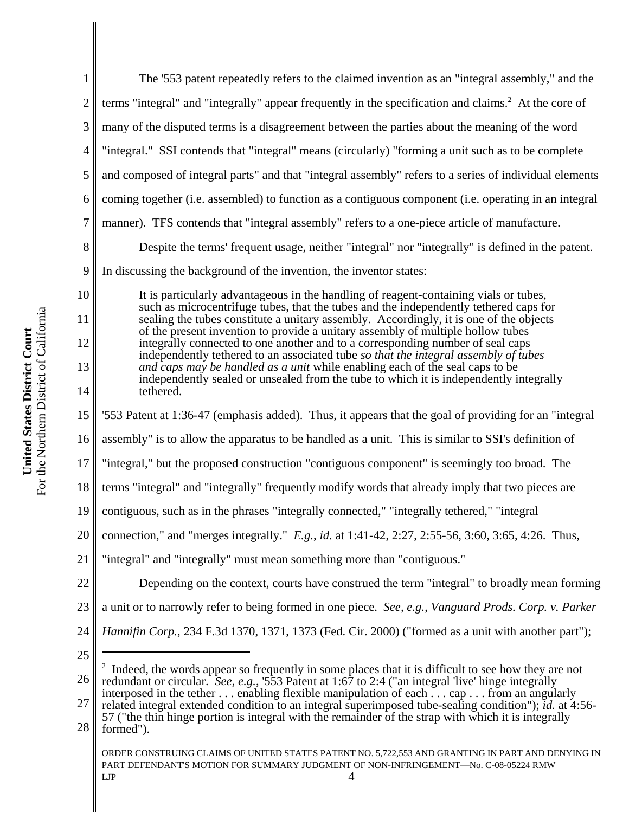| 1              | The '553 patent repeatedly refers to the claimed invention as an "integral assembly," and the                                                                                                                                                                                                                                                                                                               |  |  |
|----------------|-------------------------------------------------------------------------------------------------------------------------------------------------------------------------------------------------------------------------------------------------------------------------------------------------------------------------------------------------------------------------------------------------------------|--|--|
| $\overline{2}$ | terms "integral" and "integrally" appear frequently in the specification and claims. <sup>2</sup> At the core of                                                                                                                                                                                                                                                                                            |  |  |
| 3              | many of the disputed terms is a disagreement between the parties about the meaning of the word                                                                                                                                                                                                                                                                                                              |  |  |
| $\overline{4}$ | "integral." SSI contends that "integral" means (circularly) "forming a unit such as to be complete                                                                                                                                                                                                                                                                                                          |  |  |
| 5              | and composed of integral parts" and that "integral assembly" refers to a series of individual elements                                                                                                                                                                                                                                                                                                      |  |  |
| 6              | coming together (i.e. assembled) to function as a contiguous component (i.e. operating in an integral                                                                                                                                                                                                                                                                                                       |  |  |
| $\overline{7}$ | manner). TFS contends that "integral assembly" refers to a one-piece article of manufacture.                                                                                                                                                                                                                                                                                                                |  |  |
| 8              | Despite the terms' frequent usage, neither "integral" nor "integrally" is defined in the patent.                                                                                                                                                                                                                                                                                                            |  |  |
| 9              | In discussing the background of the invention, the inventor states:                                                                                                                                                                                                                                                                                                                                         |  |  |
| 10<br>11       | It is particularly advantageous in the handling of reagent-containing vials or tubes,<br>such as microcentrifuge tubes, that the tubes and the independently tethered caps for<br>sealing the tubes constitute a unitary assembly. Accordingly, it is one of the objects<br>of the present invention to provide a unitary assembly of multiple hollow tubes                                                 |  |  |
| 12             | integrally connected to one another and to a corresponding number of seal caps<br>independently tethered to an associated tube so that the integral assembly of tubes                                                                                                                                                                                                                                       |  |  |
| 13             | and caps may be handled as a unit while enabling each of the seal caps to be<br>independently sealed or unsealed from the tube to which it is independently integrally                                                                                                                                                                                                                                      |  |  |
| 14             | tethered.                                                                                                                                                                                                                                                                                                                                                                                                   |  |  |
| 15             | '553 Patent at 1:36-47 (emphasis added). Thus, it appears that the goal of providing for an "integral                                                                                                                                                                                                                                                                                                       |  |  |
| 16             | assembly" is to allow the apparatus to be handled as a unit. This is similar to SSI's definition of                                                                                                                                                                                                                                                                                                         |  |  |
| 17             | "integral," but the proposed construction "contiguous component" is seemingly too broad. The                                                                                                                                                                                                                                                                                                                |  |  |
| 18             | terms "integral" and "integrally" frequently modify words that already imply that two pieces are                                                                                                                                                                                                                                                                                                            |  |  |
| 19             | contiguous, such as in the phrases "integrally connected," "integrally tethered," "integral                                                                                                                                                                                                                                                                                                                 |  |  |
| 20             | connection," and "merges integrally." E.g., id. at 1:41-42, 2:27, 2:55-56, 3:60, 3:65, 4:26. Thus,                                                                                                                                                                                                                                                                                                          |  |  |
| 21             | "integral" and "integrally" must mean something more than "contiguous."                                                                                                                                                                                                                                                                                                                                     |  |  |
| 22             | Depending on the context, courts have construed the term "integral" to broadly mean forming                                                                                                                                                                                                                                                                                                                 |  |  |
| 23             | a unit or to narrowly refer to being formed in one piece. See, e.g., Vanguard Prods. Corp. v. Parker                                                                                                                                                                                                                                                                                                        |  |  |
| 24             | <i>Hannifin Corp.</i> , 234 F.3d 1370, 1371, 1373 (Fed. Cir. 2000) ("formed as a unit with another part");                                                                                                                                                                                                                                                                                                  |  |  |
| 25             |                                                                                                                                                                                                                                                                                                                                                                                                             |  |  |
| 26             | Indeed, the words appear so frequently in some places that it is difficult to see how they are not<br>redundant or circular. See, e.g., '553 Patent at 1:67 to 2:4 ("an integral 'live' hinge integrally<br>interposed in the tether enabling flexible manipulation of each cap from an angularly<br>related integral extended condition to an integral superimposed tube-sealing condition"); id. at 4:56- |  |  |
| 27             |                                                                                                                                                                                                                                                                                                                                                                                                             |  |  |
| 28             | 57 ("the thin hinge portion is integral with the remainder of the strap with which it is integrally<br>formed").                                                                                                                                                                                                                                                                                            |  |  |
|                | ORDER CONSTRUING CLAIMS OF UNITED STATES PATENT NO. 5,722,553 AND GRANTING IN PART AND DENYING IN<br>PART DEFENDANT'S MOTION FOR SUMMARY JUDGMENT OF NON-INFRINGEMENT-No. C-08-05224 RMW<br>LJP<br>4                                                                                                                                                                                                        |  |  |
|                |                                                                                                                                                                                                                                                                                                                                                                                                             |  |  |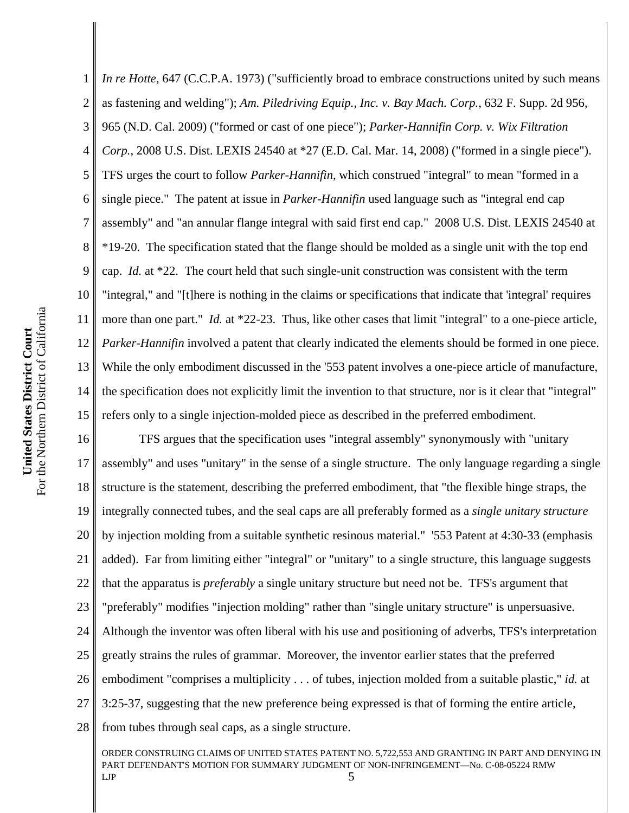1 2 3 4 5 6 7 8 9 10 11 12 13 14 15 *In re Hotte*, 647 (C.C.P.A. 1973) ("sufficiently broad to embrace constructions united by such means as fastening and welding"); *Am. Piledriving Equip., Inc. v. Bay Mach. Corp.*, 632 F. Supp. 2d 956, 965 (N.D. Cal. 2009) ("formed or cast of one piece"); *Parker-Hannifin Corp. v. Wix Filtration Corp.*, 2008 U.S. Dist. LEXIS 24540 at \*27 (E.D. Cal. Mar. 14, 2008) ("formed in a single piece"). TFS urges the court to follow *Parker-Hannifin*, which construed "integral" to mean "formed in a single piece." The patent at issue in *Parker-Hannifin* used language such as "integral end cap assembly" and "an annular flange integral with said first end cap." 2008 U.S. Dist. LEXIS 24540 at \*19-20. The specification stated that the flange should be molded as a single unit with the top end cap. *Id.* at \*22. The court held that such single-unit construction was consistent with the term "integral," and "[t]here is nothing in the claims or specifications that indicate that 'integral' requires more than one part." *Id.* at \*22-23. Thus, like other cases that limit "integral" to a one-piece article, *Parker-Hannifin* involved a patent that clearly indicated the elements should be formed in one piece. While the only embodiment discussed in the '553 patent involves a one-piece article of manufacture, the specification does not explicitly limit the invention to that structure, nor is it clear that "integral" refers only to a single injection-molded piece as described in the preferred embodiment.

16 17 18 19 20 21 22 23 24 25 26 27 28 TFS argues that the specification uses "integral assembly" synonymously with "unitary assembly" and uses "unitary" in the sense of a single structure. The only language regarding a single structure is the statement, describing the preferred embodiment, that "the flexible hinge straps, the integrally connected tubes, and the seal caps are all preferably formed as a *single unitary structure* by injection molding from a suitable synthetic resinous material." '553 Patent at 4:30-33 (emphasis added). Far from limiting either "integral" or "unitary" to a single structure, this language suggests that the apparatus is *preferably* a single unitary structure but need not be. TFS's argument that "preferably" modifies "injection molding" rather than "single unitary structure" is unpersuasive. Although the inventor was often liberal with his use and positioning of adverbs, TFS's interpretation greatly strains the rules of grammar. Moreover, the inventor earlier states that the preferred embodiment "comprises a multiplicity . . . of tubes, injection molded from a suitable plastic," *id.* at 3:25-37, suggesting that the new preference being expressed is that of forming the entire article, from tubes through seal caps, as a single structure.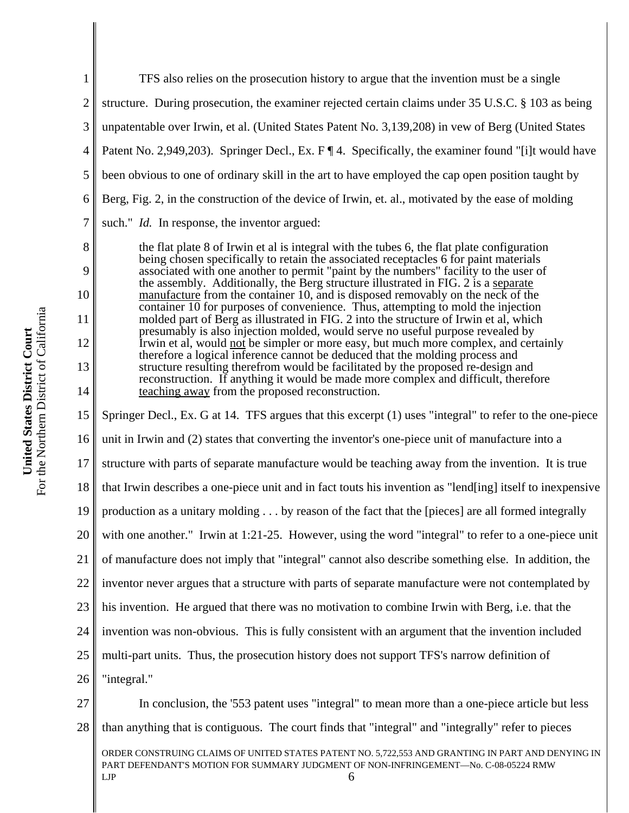| $\mathbf{1}$    | TFS also relies on the prosecution history to argue that the invention must be a single                                                                                                              |  |  |
|-----------------|------------------------------------------------------------------------------------------------------------------------------------------------------------------------------------------------------|--|--|
| $\mathbf{2}$    | structure. During prosecution, the examiner rejected certain claims under 35 U.S.C. § 103 as being                                                                                                   |  |  |
| 3               | unpatentable over Irwin, et al. (United States Patent No. 3,139,208) in vew of Berg (United States                                                                                                   |  |  |
| $\overline{4}$  | Patent No. 2,949,203). Springer Decl., Ex. F   4. Specifically, the examiner found "[i]t would have                                                                                                  |  |  |
| 5               | been obvious to one of ordinary skill in the art to have employed the cap open position taught by                                                                                                    |  |  |
| 6               | Berg, Fig. 2, in the construction of the device of Irwin, et. al., motivated by the ease of molding                                                                                                  |  |  |
| 7               | such." <i>Id.</i> In response, the inventor argued:                                                                                                                                                  |  |  |
| 8               | the flat plate 8 of Irwin et al is integral with the tubes 6, the flat plate configuration<br>being chosen specifically to retain the associated receptacles 6 for paint materials                   |  |  |
| 9               | associated with one another to permit "paint by the numbers" facility to the user of<br>the assembly. Additionally, the Berg structure illustrated in FIG. 2 is a separate                           |  |  |
| 10              | manufacture from the container 10, and is disposed removably on the neck of the<br>container 10 for purposes of convenience. Thus, attempting to mold the injection                                  |  |  |
| 11              | molded part of Berg as illustrated in FIG. 2 into the structure of Irwin et al, which<br>presumably is also injection molded, would serve no useful purpose revealed by                              |  |  |
| 12              | Irwin et al, would not be simpler or more easy, but much more complex, and certainly<br>therefore a logical inference cannot be deduced that the molding process and                                 |  |  |
| 13              | structure resulting therefrom would be facilitated by the proposed re-design and<br>reconstruction. If anything it would be made more complex and difficult, therefore                               |  |  |
| 14              | teaching away from the proposed reconstruction.                                                                                                                                                      |  |  |
| 15              | Springer Decl., Ex. G at 14. TFS argues that this excerpt (1) uses "integral" to refer to the one-piece                                                                                              |  |  |
| 16              | unit in Irwin and (2) states that converting the inventor's one-piece unit of manufacture into a                                                                                                     |  |  |
| 17              | structure with parts of separate manufacture would be teaching away from the invention. It is true                                                                                                   |  |  |
| 18              | that Irwin describes a one-piece unit and in fact touts his invention as "lend[ing] itself to inexpensive                                                                                            |  |  |
| 19              | production as a unitary molding by reason of the fact that the [pieces] are all formed integrally                                                                                                    |  |  |
| 20 <sup>1</sup> | with one another." Irwin at 1:21-25. However, using the word "integral" to refer to a one-piece unit                                                                                                 |  |  |
| 21              | of manufacture does not imply that "integral" cannot also describe something else. In addition, the                                                                                                  |  |  |
| 22              | inventor never argues that a structure with parts of separate manufacture were not contemplated by                                                                                                   |  |  |
| 23              | his invention. He argued that there was no motivation to combine Irwin with Berg, i.e. that the                                                                                                      |  |  |
| 24              | invention was non-obvious. This is fully consistent with an argument that the invention included                                                                                                     |  |  |
| 25              | multi-part units. Thus, the prosecution history does not support TFS's narrow definition of                                                                                                          |  |  |
| 26              | "integral."                                                                                                                                                                                          |  |  |
| 27              | In conclusion, the '553 patent uses "integral" to mean more than a one-piece article but less                                                                                                        |  |  |
| 28              | than anything that is contiguous. The court finds that "integral" and "integrally" refer to pieces                                                                                                   |  |  |
|                 | ORDER CONSTRUING CLAIMS OF UNITED STATES PATENT NO. 5,722,553 AND GRANTING IN PART AND DENYING IN<br>PART DEFENDANT'S MOTION FOR SUMMARY JUDGMENT OF NON-INFRINGEMENT-No. C-08-05224 RMW<br>LJP<br>6 |  |  |
|                 |                                                                                                                                                                                                      |  |  |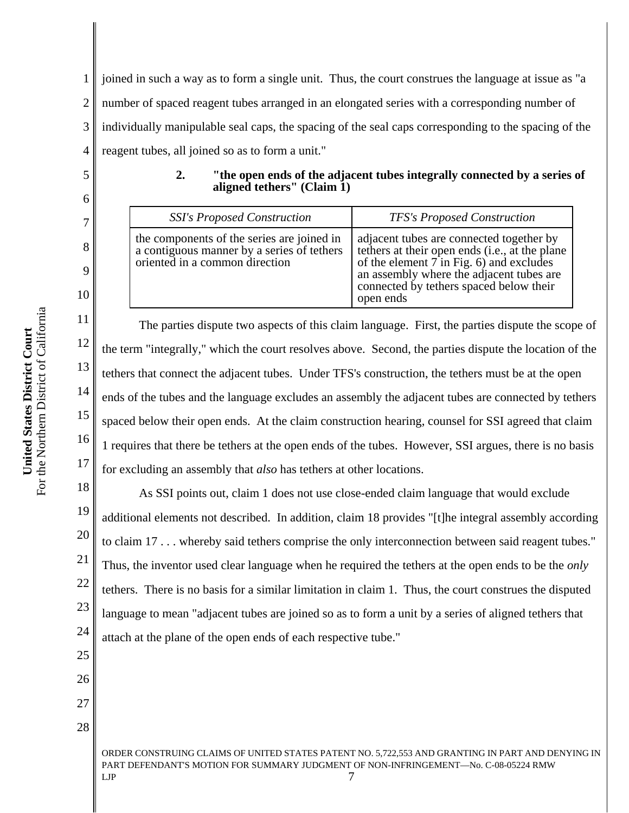1 2 3 4 joined in such a way as to form a single unit. Thus, the court construes the language at issue as "a number of spaced reagent tubes arranged in an elongated series with a corresponding number of individually manipulable seal caps, the spacing of the seal caps corresponding to the spacing of the reagent tubes, all joined so as to form a unit."

5

6

7

8

9

10

11

12

13

14

15

16

17

| aligned tethers" (Claim 1)         |                                    |
|------------------------------------|------------------------------------|
| <b>SSI's Proposed Construction</b> | <b>TFS's Proposed Construction</b> |
|                                    |                                    |

**2. "the open ends of the adjacent tubes integrally connected by a series of**

| the components of the series are joined in<br>adjacent tubes are connected together by<br>tethers at their open ends ( <i>i.e.</i> , at the plane<br>a contiguous manner by a series of tethers<br>oriented in a common direction<br>of the element 7 in Fig. 6) and excludes<br>an assembly where the adjacent tubes are<br>connected by tethers spaced below their<br>open ends |
|-----------------------------------------------------------------------------------------------------------------------------------------------------------------------------------------------------------------------------------------------------------------------------------------------------------------------------------------------------------------------------------|
|-----------------------------------------------------------------------------------------------------------------------------------------------------------------------------------------------------------------------------------------------------------------------------------------------------------------------------------------------------------------------------------|

The parties dispute two aspects of this claim language. First, the parties dispute the scope of the term "integrally," which the court resolves above. Second, the parties dispute the location of the tethers that connect the adjacent tubes. Under TFS's construction, the tethers must be at the open ends of the tubes and the language excludes an assembly the adjacent tubes are connected by tethers spaced below their open ends. At the claim construction hearing, counsel for SSI agreed that claim 1 requires that there be tethers at the open ends of the tubes. However, SSI argues, there is no basis for excluding an assembly that *also* has tethers at other locations.

18 19 20 21 22 23 24 As SSI points out, claim 1 does not use close-ended claim language that would exclude additional elements not described. In addition, claim 18 provides "[t]he integral assembly according to claim 17 . . . whereby said tethers comprise the only interconnection between said reagent tubes." Thus, the inventor used clear language when he required the tethers at the open ends to be the *only* tethers. There is no basis for a similar limitation in claim 1. Thus, the court construes the disputed language to mean "adjacent tubes are joined so as to form a unit by a series of aligned tethers that attach at the plane of the open ends of each respective tube."

25 26

27

28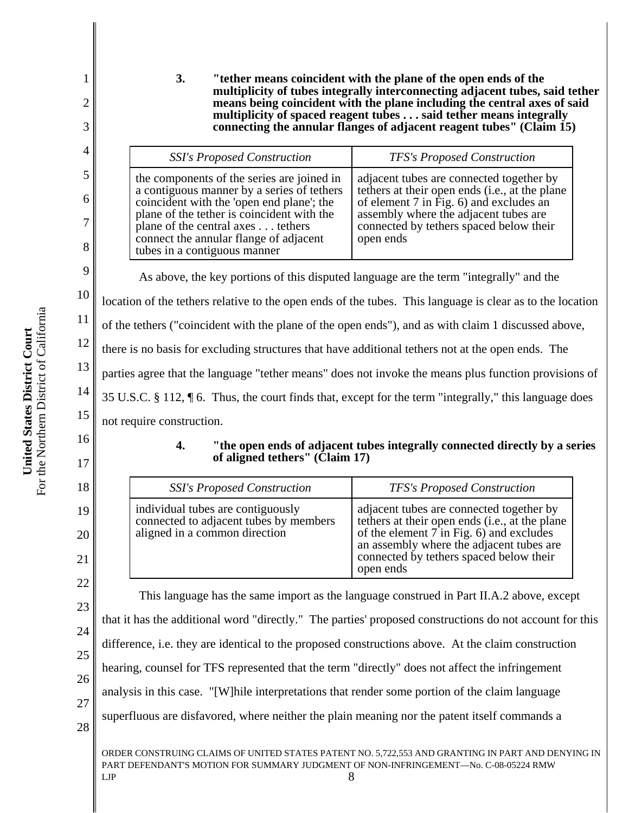**3. "tether means coincident with the plane of the open ends of the multiplicity of tubes integrally interconnecting adjacent tubes, said tether means being coincident with the plane including the central axes of said multiplicity of spaced reagent tubes . . . said tether means integrally connecting the annular flanges of adjacent reagent tubes" (Claim 15)**

| <b>SSI's Proposed Construction</b>                                                                                                                                                                                                                                                                 | <b>TFS's Proposed Construction</b>                                                                                                                                                                                                       |
|----------------------------------------------------------------------------------------------------------------------------------------------------------------------------------------------------------------------------------------------------------------------------------------------------|------------------------------------------------------------------------------------------------------------------------------------------------------------------------------------------------------------------------------------------|
| the components of the series are joined in<br>a contiguous manner by a series of tethers<br>coincident with the 'open end plane'; the<br>plane of the tether is coincident with the<br>plane of the central axes tethers<br>connect the annular flange of adjacent<br>tubes in a contiguous manner | adjacent tubes are connected together by<br>tethers at their open ends (i.e., at the plane<br>of element $7$ in Fig. 6) and excludes an<br>assembly where the adjacent tubes are<br>connected by tethers spaced below their<br>open ends |

As above, the key portions of this disputed language are the term "integrally" and the

location of the tethers relative to the open ends of the tubes. This language is clear as to the location

of the tethers ("coincident with the plane of the open ends"), and as with claim 1 discussed above,

there is no basis for excluding structures that have additional tethers not at the open ends. The

parties agree that the language "tether means" does not invoke the means plus function provisions of

35 U.S.C. § 112, ¶ 6. Thus, the court finds that, except for the term "integrally," this language does

not require construction.

16

1

2

3

4

5

6

7

8

9

10

11

12

13

14

15

17

18

19

20

21

22

**4. "the open ends of adjacent tubes integrally connected directly by a series of aligned tethers" (Claim 17)**

| <b>SSI's Proposed Construction</b>                                                                           | <b>TFS's Proposed Construction</b>                                                                                                                                                                                                           |
|--------------------------------------------------------------------------------------------------------------|----------------------------------------------------------------------------------------------------------------------------------------------------------------------------------------------------------------------------------------------|
| individual tubes are contiguously<br>connected to adjacent tubes by members<br>aligned in a common direction | adjacent tubes are connected together by<br>tethers at their open ends (i.e., at the plane<br>of the element $7$ in Fig. 6) and excludes<br>an assembly where the adjacent tubes are<br>connected by tethers spaced below their<br>open ends |

23 24 25 26 27 28 This language has the same import as the language construed in Part II.A.2 above, except that it has the additional word "directly." The parties' proposed constructions do not account for this difference, i.e. they are identical to the proposed constructions above. At the claim construction hearing, counsel for TFS represented that the term "directly" does not affect the infringement analysis in this case. "[W]hile interpretations that render some portion of the claim language superfluous are disfavored, where neither the plain meaning nor the patent itself commands a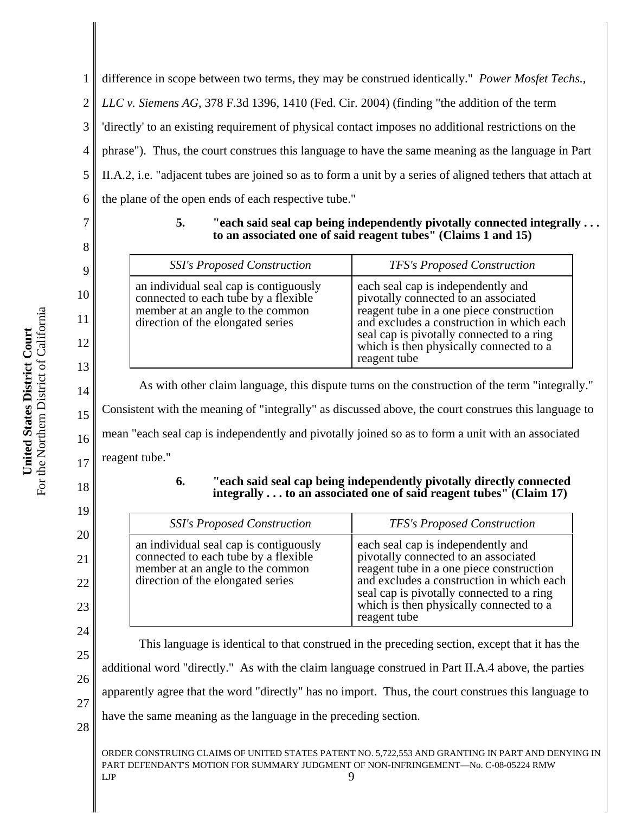1 2 3 4 5 6 difference in scope between two terms, they may be construed identically." *Power Mosfet Techs., LLC v. Siemens AG*, 378 F.3d 1396, 1410 (Fed. Cir. 2004) (finding "the addition of the term 'directly' to an existing requirement of physical contact imposes no additional restrictions on the phrase"). Thus, the court construes this language to have the same meaning as the language in Part II.A.2, i.e. "adjacent tubes are joined so as to form a unit by a series of aligned tethers that attach at the plane of the open ends of each respective tube."

7

8

9

10

11

12

13

14

15

16

17

18

19

20

21

22

23

24

25

26

27

#### **5. "each said seal cap being independently pivotally connected integrally . . . to an associated one of said reagent tubes" (Claims 1 and 15)**

| <b>SSI's Proposed Construction</b>                                                                                                                      | <b>TFS's Proposed Construction</b>                                                                                                                                                                                                                                          |
|---------------------------------------------------------------------------------------------------------------------------------------------------------|-----------------------------------------------------------------------------------------------------------------------------------------------------------------------------------------------------------------------------------------------------------------------------|
| an individual seal cap is contiguously<br>connected to each tube by a flexible<br>member at an angle to the common<br>direction of the elongated series | each seal cap is independently and<br>pivotally connected to an associated<br>reagent tube in a one piece construction<br>and excludes a construction in which each<br>seal cap is pivotally connected to a ring<br>which is then physically connected to a<br>reagent tube |

As with other claim language, this dispute turns on the construction of the term "integrally." Consistent with the meaning of "integrally" as discussed above, the court construes this language to mean "each seal cap is independently and pivotally joined so as to form a unit with an associated reagent tube."

#### **6. "each said seal cap being independently pivotally directly connected integrally . . . to an associated one of said reagent tubes" (Claim 17)**

| <b>SSI's Proposed Construction</b>                                                                                                                      | <b>TFS's Proposed Construction</b>                                                                                                                                                                                                                                          |
|---------------------------------------------------------------------------------------------------------------------------------------------------------|-----------------------------------------------------------------------------------------------------------------------------------------------------------------------------------------------------------------------------------------------------------------------------|
| an individual seal cap is contiguously<br>connected to each tube by a flexible<br>member at an angle to the common<br>direction of the elongated series | each seal cap is independently and<br>pivotally connected to an associated<br>reagent tube in a one piece construction<br>and excludes a construction in which each<br>seal cap is pivotally connected to a ring<br>which is then physically connected to a<br>reagent tube |

This language is identical to that construed in the preceding section, except that it has the additional word "directly." As with the claim language construed in Part II.A.4 above, the parties apparently agree that the word "directly" has no import. Thus, the court construes this language to have the same meaning as the language in the preceding section.

28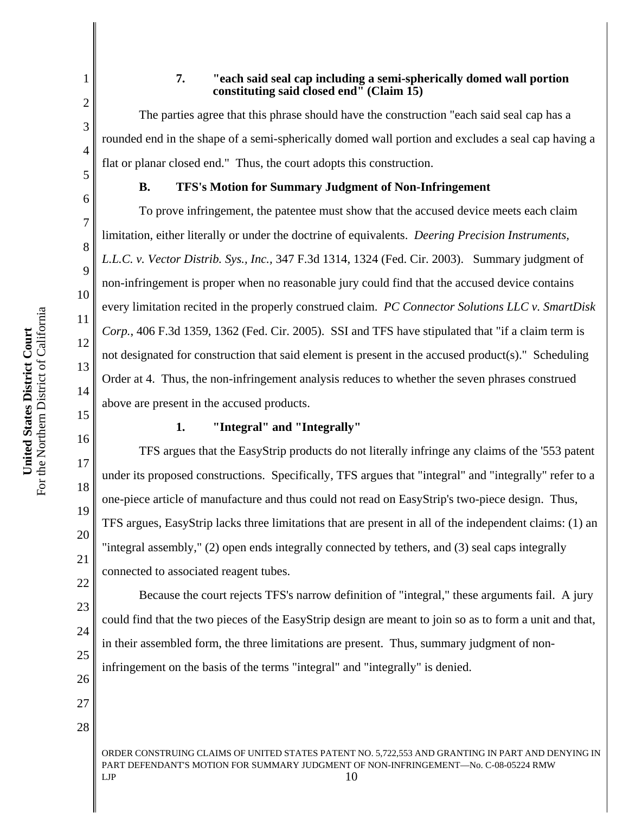#### **7. "each said seal cap including a semi-spherically domed wall portion constituting said closed end" (Claim 15)**

The parties agree that this phrase should have the construction "each said seal cap has a rounded end in the shape of a semi-spherically domed wall portion and excludes a seal cap having a flat or planar closed end." Thus, the court adopts this construction.

1

2

3

4

5

6

7

8

9

10

11

12

13

14

15

16

17

18

19

20

21

22

23

24

25

26

27

28

#### **B. TFS's Motion for Summary Judgment of Non-Infringement**

To prove infringement, the patentee must show that the accused device meets each claim limitation, either literally or under the doctrine of equivalents. *Deering Precision Instruments, L.L.C. v. Vector Distrib. Sys., Inc.,* 347 F.3d 1314, 1324 (Fed. Cir. 2003). Summary judgment of non-infringement is proper when no reasonable jury could find that the accused device contains every limitation recited in the properly construed claim. *PC Connector Solutions LLC v. SmartDisk Corp.*, 406 F.3d 1359, 1362 (Fed. Cir. 2005). SSI and TFS have stipulated that "if a claim term is not designated for construction that said element is present in the accused product(s)." Scheduling Order at 4. Thus, the non-infringement analysis reduces to whether the seven phrases construed above are present in the accused products.

#### **1. "Integral" and "Integrally"**

TFS argues that the EasyStrip products do not literally infringe any claims of the '553 patent under its proposed constructions. Specifically, TFS argues that "integral" and "integrally" refer to a one-piece article of manufacture and thus could not read on EasyStrip's two-piece design. Thus, TFS argues, EasyStrip lacks three limitations that are present in all of the independent claims: (1) an "integral assembly," (2) open ends integrally connected by tethers, and (3) seal caps integrally connected to associated reagent tubes.

Because the court rejects TFS's narrow definition of "integral," these arguments fail. A jury could find that the two pieces of the EasyStrip design are meant to join so as to form a unit and that, in their assembled form, the three limitations are present. Thus, summary judgment of noninfringement on the basis of the terms "integral" and "integrally" is denied.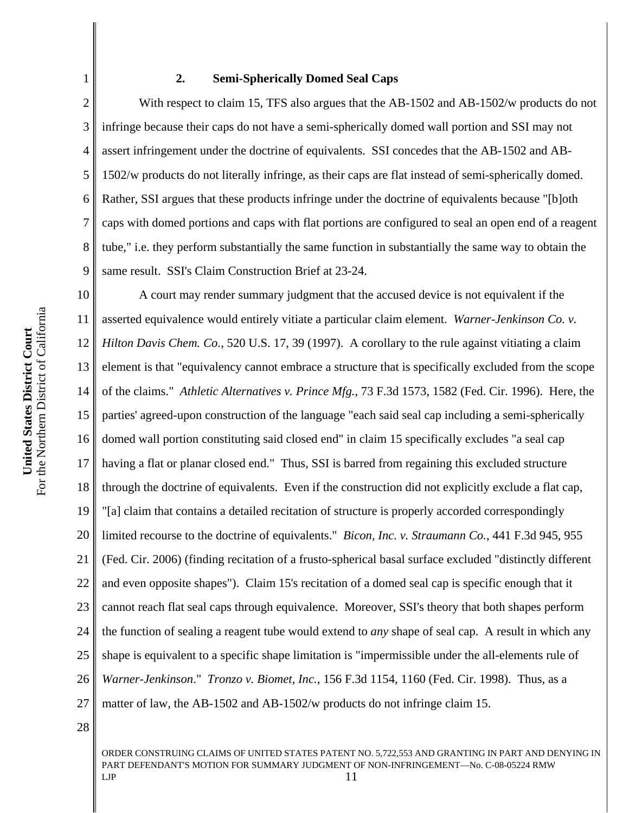# For the Northern District of California For the Northern District of California United States District Court **United States District Court**

1

2

3

4

5

6

7

8

9

#### **2. Semi-Spherically Domed Seal Caps**

With respect to claim 15, TFS also argues that the AB-1502 and AB-1502/w products do not infringe because their caps do not have a semi-spherically domed wall portion and SSI may not assert infringement under the doctrine of equivalents. SSI concedes that the AB-1502 and AB-1502/w products do not literally infringe, as their caps are flat instead of semi-spherically domed. Rather, SSI argues that these products infringe under the doctrine of equivalents because "[b]oth caps with domed portions and caps with flat portions are configured to seal an open end of a reagent tube," i.e. they perform substantially the same function in substantially the same way to obtain the same result. SSI's Claim Construction Brief at 23-24.

10 11 12 13 14 15 16 17 18 19 20 21 22 23 24 25 26 27 A court may render summary judgment that the accused device is not equivalent if the asserted equivalence would entirely vitiate a particular claim element. *Warner-Jenkinson Co. v. Hilton Davis Chem. Co.*, 520 U.S. 17, 39 (1997). A corollary to the rule against vitiating a claim element is that "equivalency cannot embrace a structure that is specifically excluded from the scope of the claims." *Athletic Alternatives v. Prince Mfg.*, 73 F.3d 1573, 1582 (Fed. Cir. 1996). Here, the parties' agreed-upon construction of the language "each said seal cap including a semi-spherically domed wall portion constituting said closed end" in claim 15 specifically excludes "a seal cap having a flat or planar closed end." Thus, SSI is barred from regaining this excluded structure through the doctrine of equivalents. Even if the construction did not explicitly exclude a flat cap, "[a] claim that contains a detailed recitation of structure is properly accorded correspondingly limited recourse to the doctrine of equivalents." *Bicon, Inc. v. Straumann Co.*, 441 F.3d 945, 955 (Fed. Cir. 2006) (finding recitation of a frusto-spherical basal surface excluded "distinctly different and even opposite shapes"). Claim 15's recitation of a domed seal cap is specific enough that it cannot reach flat seal caps through equivalence. Moreover, SSI's theory that both shapes perform the function of sealing a reagent tube would extend to *any* shape of seal cap. A result in which any shape is equivalent to a specific shape limitation is "impermissible under the all-elements rule of *Warner-Jenkinson*." *Tronzo v. Biomet, Inc.*, 156 F.3d 1154, 1160 (Fed. Cir. 1998). Thus, as a matter of law, the AB-1502 and AB-1502/w products do not infringe claim 15.

28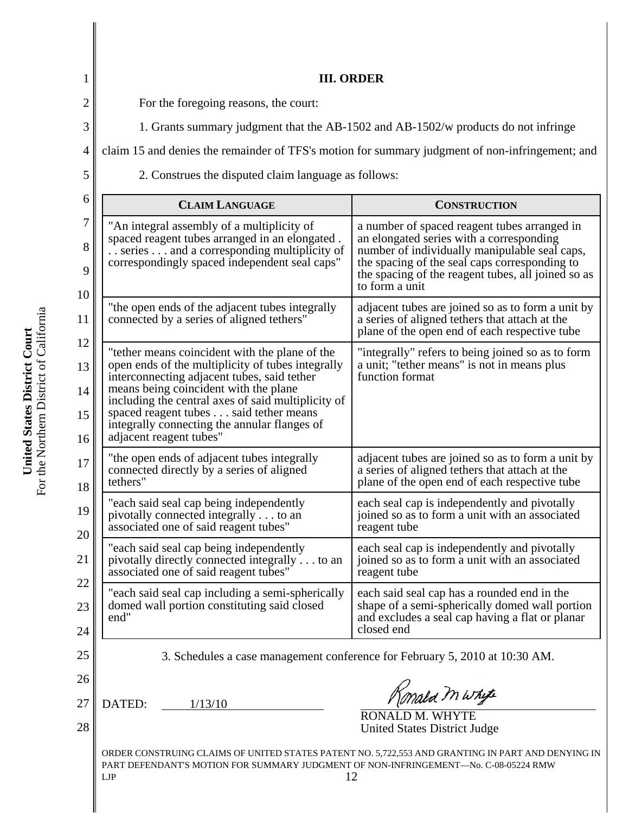| $\mathbf 1$    | <b>III. ORDER</b>                                                                                                                                                                           |                                                                                                                                                                |  |
|----------------|---------------------------------------------------------------------------------------------------------------------------------------------------------------------------------------------|----------------------------------------------------------------------------------------------------------------------------------------------------------------|--|
| $\overline{c}$ | For the foregoing reasons, the court:                                                                                                                                                       |                                                                                                                                                                |  |
| 3              | 1. Grants summary judgment that the AB-1502 and AB-1502/w products do not infringe                                                                                                          |                                                                                                                                                                |  |
| $\overline{4}$ | claim 15 and denies the remainder of TFS's motion for summary judgment of non-infringement; and                                                                                             |                                                                                                                                                                |  |
| 5              | 2. Construes the disputed claim language as follows:                                                                                                                                        |                                                                                                                                                                |  |
| 6              | <b>CLAIM LANGUAGE</b>                                                                                                                                                                       | <b>CONSTRUCTION</b>                                                                                                                                            |  |
| 7              | "An integral assembly of a multiplicity of                                                                                                                                                  | a number of spaced reagent tubes arranged in                                                                                                                   |  |
| 8              | spaced reagent tubes arranged in an elongated.<br>series and a corresponding multiplicity of                                                                                                | an elongated series with a corresponding<br>number of individually manipulable seal caps,                                                                      |  |
| 9<br>10        | correspondingly spaced independent seal caps"                                                                                                                                               | the spacing of the seal caps corresponding to<br>the spacing of the reagent tubes, all joined so as<br>to form a unit                                          |  |
| 11             | "the open ends of the adjacent tubes integrally<br>connected by a series of aligned tethers"                                                                                                | adjacent tubes are joined so as to form a unit by<br>a series of aligned tethers that attach at the<br>plane of the open end of each respective tube           |  |
| 12<br>13<br>14 | "tether means coincident with the plane of the<br>open ends of the multiplicity of tubes integrally<br>interconnecting adjacent tubes, said tether<br>means being coincident with the plane | "integrally" refers to being joined so as to form<br>a unit; "tether means" is not in means plus<br>function format                                            |  |
| 15<br>16       | including the central axes of said multiplicity of<br>spaced reagent tubes said tether means<br>integrally connecting the annular flanges of<br>adjacent reagent tubes"                     |                                                                                                                                                                |  |
| 17<br>18       | "the open ends of adjacent tubes integrally<br>connected directly by a series of aligned<br>tethers"                                                                                        | adjacent tubes are joined so as to form a unit by<br>a series of aligned tethers that attach at the<br>plane of the open end of each respective tube           |  |
| 19<br>20       | "each said seal cap being independently<br>pivotally connected integrally to an<br>associated one of said reagent tubes"                                                                    | each seal cap is independently and pivotally<br>joined so as to form a unit with an associated<br>reagent tube                                                 |  |
| 21             | "each said seal cap being independently<br>pivotally directly connected integrally to an<br>associated one of said reagent tubes"                                                           | each seal cap is independently and pivotally<br>joined so as to form a unit with an associated<br>reagent tube                                                 |  |
| 22<br>23<br>24 | "each said seal cap including a semi-spherically<br>domed wall portion constituting said closed<br>end"                                                                                     | each said seal cap has a rounded end in the<br>shape of a semi-spherically domed wall portion<br>and excludes a seal cap having a flat or planar<br>closed end |  |
| 25             | 3. Schedules a case management conference for February 5, 2010 at 10:30 AM.                                                                                                                 |                                                                                                                                                                |  |
| 26             |                                                                                                                                                                                             | Konald mwhite                                                                                                                                                  |  |
| 27<br>28       | DATED:<br>1/13/10                                                                                                                                                                           | RONALD M. WHYTE<br><b>United States District Judge</b>                                                                                                         |  |
|                | PART DEFENDANT'S MOTION FOR SUMMARY JUDGMENT OF NON-INFRINGEMENT-No. C-08-05224 RMW<br>LJP                                                                                                  | ORDER CONSTRUING CLAIMS OF UNITED STATES PATENT NO. 5,722,553 AND GRANTING IN PART AND DENYING IN<br>12                                                        |  |

**United States District Court**<br>For the Northern District of California For the Northern District of California **United States District Court**